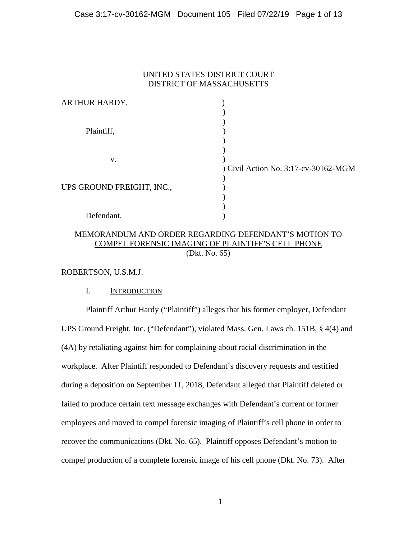## Case 3:17-cv-30162-MGM Document 105 Filed 07/22/19 Page 1 of 13

# UNITED STATES DISTRICT COURT DISTRICT OF MASSACHUSETTS

| ARTHUR HARDY,             |                                      |
|---------------------------|--------------------------------------|
|                           |                                      |
|                           |                                      |
| Plaintiff,                |                                      |
|                           |                                      |
|                           |                                      |
| V.                        |                                      |
|                           | ) Civil Action No. 3:17-cv-30162-MGM |
|                           |                                      |
| UPS GROUND FREIGHT, INC., |                                      |
|                           |                                      |
|                           |                                      |
| Defendant.                |                                      |

# MEMORANDUM AND ORDER REGARDING DEFENDANT'S MOTION TO COMPEL FORENSIC IMAGING OF PLAINTIFF'S CELL PHONE (Dkt. No. 65)

ROBERTSON, U.S.M.J.

# I. INTRODUCTION

Plaintiff Arthur Hardy ("Plaintiff") alleges that his former employer, Defendant UPS Ground Freight, Inc. ("Defendant"), violated Mass. Gen. Laws ch. 151B, § 4(4) and (4A) by retaliating against him for complaining about racial discrimination in the workplace. After Plaintiff responded to Defendant's discovery requests and testified during a deposition on September 11, 2018, Defendant alleged that Plaintiff deleted or failed to produce certain text message exchanges with Defendant's current or former employees and moved to compel forensic imaging of Plaintiff's cell phone in order to recover the communications (Dkt. No. 65). Plaintiff opposes Defendant's motion to compel production of a complete forensic image of his cell phone (Dkt. No. 73). After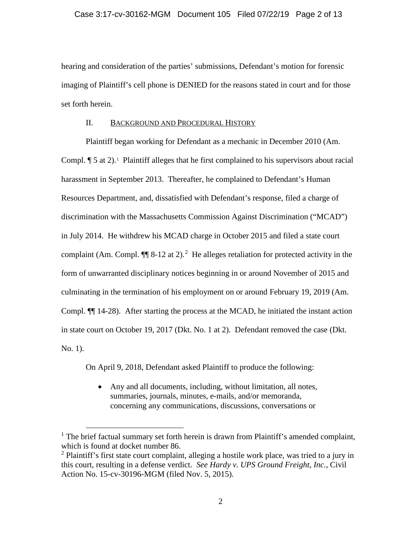### Case 3:17-cv-30162-MGM Document 105 Filed 07/22/19 Page 2 of 13

hearing and consideration of the parties' submissions, Defendant's motion for forensic imaging of Plaintiff's cell phone is DENIED for the reasons stated in court and for those set forth herein.

### II. BACKGROUND AND PROCEDURAL HISTORY

Plaintiff began working for Defendant as a mechanic in December 2010 (Am. Compl.  $\P$  5 at 2).<sup>[1](#page-1-0)</sup> Plaintiff alleges that he first complained to his supervisors about racial harassment in September 2013. Thereafter, he complained to Defendant's Human Resources Department, and, dissatisfied with Defendant's response, filed a charge of discrimination with the Massachusetts Commission Against Discrimination ("MCAD") in July 2014. He withdrew his MCAD charge in October 2015 and filed a state court complaint (Am. Compl.  $\P$  8-1[2](#page-1-1) at 2).<sup>2</sup> He alleges retaliation for protected activity in the form of unwarranted disciplinary notices beginning in or around November of 2015 and culminating in the termination of his employment on or around February 19, 2019 (Am. Compl. ¶¶ 14-28). After starting the process at the MCAD, he initiated the instant action in state court on October 19, 2017 (Dkt. No. 1 at 2). Defendant removed the case (Dkt. No. 1).

On April 9, 2018, Defendant asked Plaintiff to produce the following:

• Any and all documents, including, without limitation, all notes, summaries, journals, minutes, e-mails, and/or memoranda, concerning any communications, discussions, conversations or

<span id="page-1-0"></span> $<sup>1</sup>$  The brief factual summary set forth herein is drawn from Plaintiff's amended complaint,</sup> which is found at docket number 86.

<span id="page-1-1"></span> $2$  Plaintiff's first state court complaint, alleging a hostile work place, was tried to a jury in this court, resulting in a defense verdict. *See Hardy v. UPS Ground Freight, Inc.*, Civil Action No. 15-cv-30196-MGM (filed Nov. 5, 2015).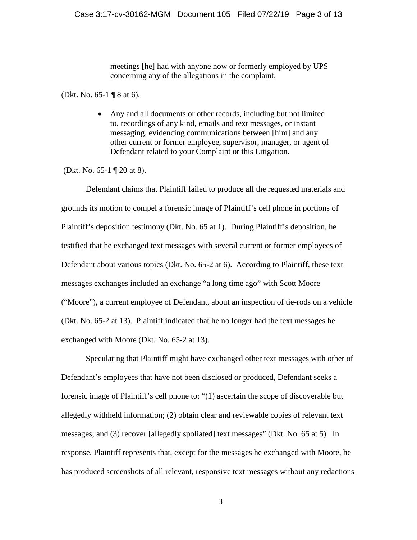meetings [he] had with anyone now or formerly employed by UPS concerning any of the allegations in the complaint.

(Dkt. No. 65-1 ¶ 8 at 6).

• Any and all documents or other records, including but not limited to, recordings of any kind, emails and text messages, or instant messaging, evidencing communications between [him] and any other current or former employee, supervisor, manager, or agent of Defendant related to your Complaint or this Litigation.

(Dkt. No. 65-1 ¶ 20 at 8).

Defendant claims that Plaintiff failed to produce all the requested materials and grounds its motion to compel a forensic image of Plaintiff's cell phone in portions of Plaintiff's deposition testimony (Dkt. No. 65 at 1). During Plaintiff's deposition, he testified that he exchanged text messages with several current or former employees of Defendant about various topics (Dkt. No. 65-2 at 6). According to Plaintiff, these text messages exchanges included an exchange "a long time ago" with Scott Moore ("Moore"), a current employee of Defendant, about an inspection of tie-rods on a vehicle (Dkt. No. 65-2 at 13). Plaintiff indicated that he no longer had the text messages he exchanged with Moore (Dkt. No. 65-2 at 13).

Speculating that Plaintiff might have exchanged other text messages with other of Defendant's employees that have not been disclosed or produced, Defendant seeks a forensic image of Plaintiff's cell phone to: "(1) ascertain the scope of discoverable but allegedly withheld information; (2) obtain clear and reviewable copies of relevant text messages; and (3) recover [allegedly spoliated] text messages" (Dkt. No. 65 at 5). In response, Plaintiff represents that, except for the messages he exchanged with Moore, he has produced screenshots of all relevant, responsive text messages without any redactions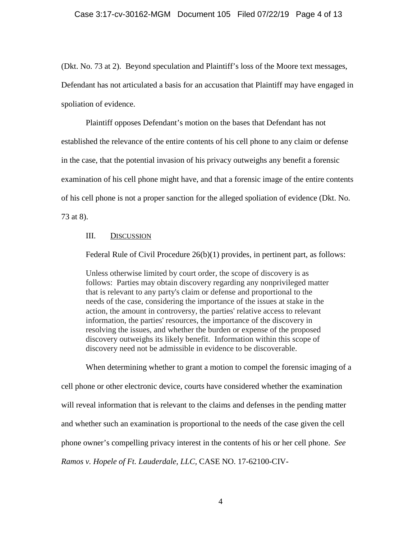#### Case 3:17-cv-30162-MGM Document 105 Filed 07/22/19 Page 4 of 13

(Dkt. No. 73 at 2). Beyond speculation and Plaintiff's loss of the Moore text messages, Defendant has not articulated a basis for an accusation that Plaintiff may have engaged in spoliation of evidence.

Plaintiff opposes Defendant's motion on the bases that Defendant has not established the relevance of the entire contents of his cell phone to any claim or defense in the case, that the potential invasion of his privacy outweighs any benefit a forensic examination of his cell phone might have, and that a forensic image of the entire contents of his cell phone is not a proper sanction for the alleged spoliation of evidence (Dkt. No. 73 at 8).

### III. DISCUSSION

Federal Rule of Civil Procedure 26(b)(1) provides, in pertinent part, as follows:

Unless otherwise limited by court order, the scope of discovery is as follows: Parties may obtain discovery regarding any nonprivileged matter that is relevant to any party's claim or defense and proportional to the needs of the case, considering the importance of the issues at stake in the action, the amount in controversy, the parties' relative access to relevant information, the parties' resources, the importance of the discovery in resolving the issues, and whether the burden or expense of the proposed discovery outweighs its likely benefit. Information within this scope of discovery need not be admissible in evidence to be discoverable.

When determining whether to grant a motion to compel the forensic imaging of a cell phone or other electronic device, courts have considered whether the examination will reveal information that is relevant to the claims and defenses in the pending matter and whether such an examination is proportional to the needs of the case given the cell phone owner's compelling privacy interest in the contents of his or her cell phone. *See Ramos v. Hopele of Ft. Lauderdale, LLC,* CASE NO. 17-62100-CIV-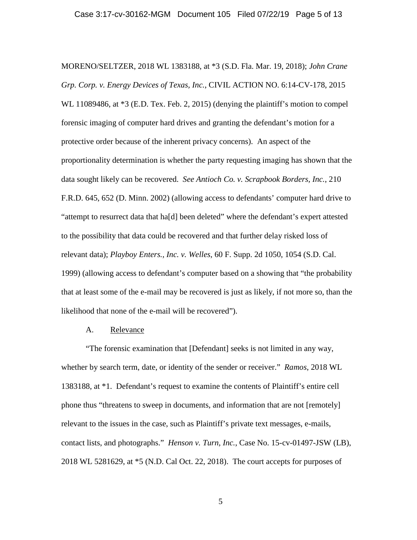MORENO/SELTZER, 2018 WL 1383188, at \*3 (S.D. Fla. Mar. 19, 2018); *John Crane Grp. Corp. v. Energy Devices of Texas, Inc.*, CIVIL ACTION NO. 6:14-CV-178, 2015 WL 11089486, at  $*3$  (E.D. Tex. Feb. 2, 2015) (denying the plaintiff's motion to compel forensic imaging of computer hard drives and granting the defendant's motion for a protective order because of the inherent privacy concerns). An aspect of the proportionality determination is whether the party requesting imaging has shown that the data sought likely can be recovered. *See Antioch Co. v. Scrapbook Borders, Inc.*, 210 F.R.D. 645, 652 (D. Minn. 2002) (allowing access to defendants' computer hard drive to "attempt to resurrect data that ha $[d]$  been deleted" where the defendant's expert attested to the possibility that data could be recovered and that further delay risked loss of relevant data); *Playboy Enters., Inc. v. Welles*, 60 F. Supp. 2d 1050, 1054 (S.D. Cal. 1999) (allowing access to defendant's computer based on a showing that "the probability that at least some of the e-mail may be recovered is just as likely, if not more so, than the likelihood that none of the e-mail will be recovered").

### A. Relevance

"The forensic examination that [Defendant] seeks is not limited in any way, whether by search term, date, or identity of the sender or receiver." *Ramos*, 2018 WL 1383188, at \*1. Defendant's request to examine the contents of Plaintiff's entire cell phone thus "threatens to sweep in documents, and information that are not [remotely] relevant to the issues in the case, such as Plaintiff's private text messages, e-mails, contact lists, and photographs." *Henson v. Turn, Inc.*, Case No. 15-cv-01497-JSW (LB), 2018 WL 5281629, at \*5 (N.D. Cal Oct. 22, 2018). The court accepts for purposes of

5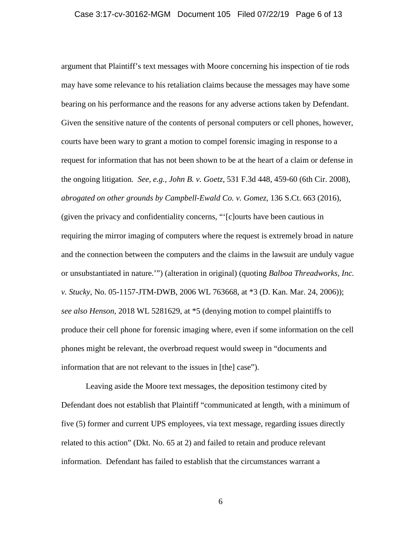argument that Plaintiff's text messages with Moore concerning his inspection of tie rods may have some relevance to his retaliation claims because the messages may have some bearing on his performance and the reasons for any adverse actions taken by Defendant. Given the sensitive nature of the contents of personal computers or cell phones, however, courts have been wary to grant a motion to compel forensic imaging in response to a request for information that has not been shown to be at the heart of a claim or defense in the ongoing litigation. *See, e.g., John B. v. Goetz*, 531 F.3d 448, 459-60 (6th Cir. 2008), *abrogated on other grounds by Campbell-Ewald Co. v. Gomez*, 136 S.Ct. 663 (2016), (given the privacy and confidentiality concerns, "'[c]ourts have been cautious in requiring the mirror imaging of computers where the request is extremely broad in nature and the connection between the computers and the claims in the lawsuit are unduly vague or unsubstantiated in nature.'") (alteration in original) (quoting *Balboa Threadworks, Inc. v. Stucky,* No. 05-1157-JTM-DWB, 2006 WL 763668, at \*3 (D. Kan. Mar. 24, 2006)); *see also Henson*, 2018 WL 5281629, at \*5 (denying motion to compel plaintiffs to produce their cell phone for forensic imaging where, even if some information on the cell phones might be relevant, the overbroad request would sweep in "documents and information that are not relevant to the issues in [the] case").

Leaving aside the Moore text messages, the deposition testimony cited by Defendant does not establish that Plaintiff "communicated at length, with a minimum of five (5) former and current UPS employees, via text message, regarding issues directly related to this action" (Dkt. No. 65 at 2) and failed to retain and produce relevant information. Defendant has failed to establish that the circumstances warrant a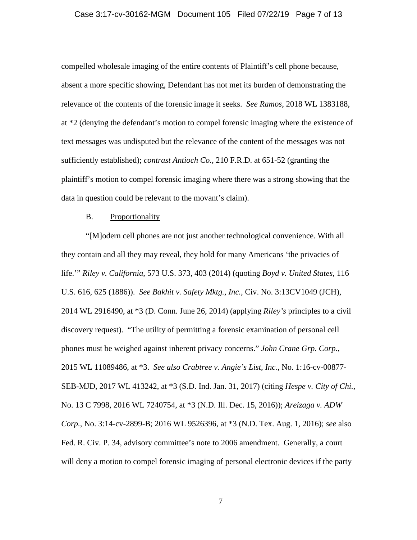#### Case 3:17-cv-30162-MGM Document 105 Filed 07/22/19 Page 7 of 13

compelled wholesale imaging of the entire contents of Plaintiff's cell phone because, absent a more specific showing, Defendant has not met its burden of demonstrating the relevance of the contents of the forensic image it seeks. *See Ramos*, 2018 WL 1383188, at \*2 (denying the defendant's motion to compel forensic imaging where the existence of text messages was undisputed but the relevance of the content of the messages was not sufficiently established); *contrast Antioch Co.*, 210 F.R.D. at 651-52 (granting the plaintiff's motion to compel forensic imaging where there was a strong showing that the data in question could be relevant to the movant's claim).

#### B. Proportionality

"[M]odern cell phones are not just another technological convenience. With all they contain and all they may reveal, they hold for many Americans 'the privacies of life.'" *Riley v. California*, 573 U.S. 373, 403 (2014) (quoting *Boyd v. United States*, 116 U.S. 616, 625 (1886)). *See Bakhit v. Safety Mktg., Inc.,* Civ. No. 3:13CV1049 (JCH), 2014 WL 2916490, at \*3 (D. Conn. June 26, 2014) (applying *Riley's* principles to a civil discovery request). "The utility of permitting a forensic examination of personal cell phones must be weighed against inherent privacy concerns." *John Crane Grp. Corp.*, 2015 WL 11089486, at \*3. *See also Crabtree v. Angie's List, Inc.*, No. 1:16-cv-00877- SEB-MJD, 2017 WL 413242, at \*3 (S.D. Ind. Jan. 31, 2017) (citing *Hespe v. City of Chi.*, No. 13 C 7998, 2016 WL 7240754, at \*3 (N.D. Ill. Dec. 15, 2016)); *Areizaga v. ADW Corp.*, No. 3:14-cv-2899-B; 2016 WL 9526396, at \*3 (N.D. Tex. Aug. 1, 2016); *see* also Fed. R. Civ. P. 34, advisory committee's note to 2006 amendment. Generally, a court will deny a motion to compel forensic imaging of personal electronic devices if the party

7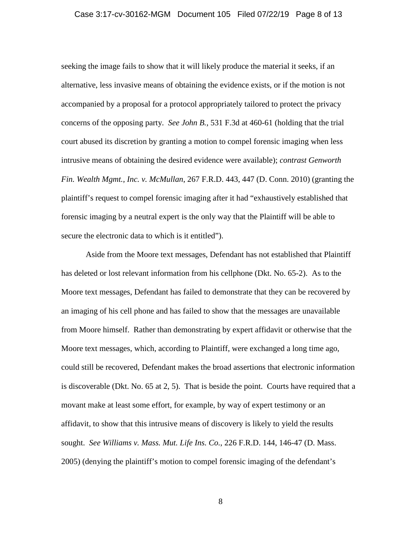#### Case 3:17-cv-30162-MGM Document 105 Filed 07/22/19 Page 8 of 13

seeking the image fails to show that it will likely produce the material it seeks, if an alternative, less invasive means of obtaining the evidence exists, or if the motion is not accompanied by a proposal for a protocol appropriately tailored to protect the privacy concerns of the opposing party. *See John B.*, 531 F.3d at 460-61 (holding that the trial court abused its discretion by granting a motion to compel forensic imaging when less intrusive means of obtaining the desired evidence were available); *contrast Genworth Fin. Wealth Mgmt., Inc. v. McMullan*, 267 F.R.D. 443, 447 (D. Conn. 2010) (granting the plaintiff's request to compel forensic imaging after it had "exhaustively established that forensic imaging by a neutral expert is the only way that the Plaintiff will be able to secure the electronic data to which is it entitled").

Aside from the Moore text messages, Defendant has not established that Plaintiff has deleted or lost relevant information from his cellphone (Dkt. No. 65-2). As to the Moore text messages, Defendant has failed to demonstrate that they can be recovered by an imaging of his cell phone and has failed to show that the messages are unavailable from Moore himself. Rather than demonstrating by expert affidavit or otherwise that the Moore text messages, which, according to Plaintiff, were exchanged a long time ago, could still be recovered, Defendant makes the broad assertions that electronic information is discoverable (Dkt. No. 65 at 2, 5). That is beside the point. Courts have required that a movant make at least some effort, for example, by way of expert testimony or an affidavit, to show that this intrusive means of discovery is likely to yield the results sought. *See Williams v. Mass. Mut. Life Ins. Co.*, 226 F.R.D. 144, 146-47 (D. Mass. 2005) (denying the plaintiff's motion to compel forensic imaging of the defendant's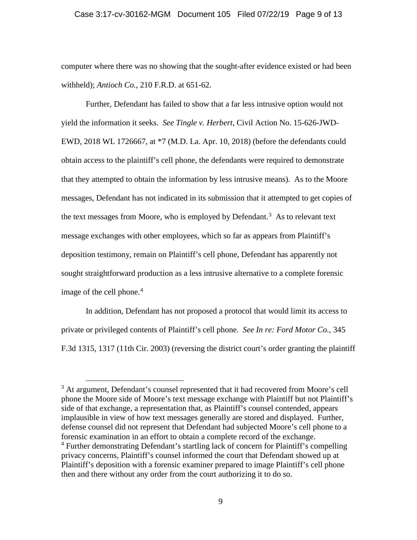#### Case 3:17-cv-30162-MGM Document 105 Filed 07/22/19 Page 9 of 13

computer where there was no showing that the sought-after evidence existed or had been withheld); *Antioch Co.,* 210 F.R.D. at 651-62.

Further, Defendant has failed to show that a far less intrusive option would not yield the information it seeks. *See Tingle v. Herbert*, Civil Action No. 15-626-JWD-EWD, 2018 WL 1726667, at \*7 (M.D. La. Apr. 10, 2018) (before the defendants could obtain access to the plaintiff's cell phone, the defendants were required to demonstrate that they attempted to obtain the information by less intrusive means). As to the Moore messages, Defendant has not indicated in its submission that it attempted to get copies of the text messages from Moore, who is employed by Defendant.<sup>[3](#page-8-0)</sup> As to relevant text message exchanges with other employees, which so far as appears from Plaintiff's deposition testimony, remain on Plaintiff's cell phone, Defendant has apparently not sought straightforward production as a less intrusive alternative to a complete forensic image of the cell phone. [4](#page-8-1)

In addition, Defendant has not proposed a protocol that would limit its access to private or privileged contents of Plaintiff's cell phone. *See In re: Ford Motor Co.*, 345 F.3d 1315, 1317 (11th Cir. 2003) (reversing the district court's order granting the plaintiff

<span id="page-8-1"></span><span id="page-8-0"></span><sup>&</sup>lt;sup>3</sup> At argument, Defendant's counsel represented that it had recovered from Moore's cell phone the Moore side of Moore's text message exchange with Plaintiff but not Plaintiff's side of that exchange, a representation that, as Plaintiff's counsel contended, appears implausible in view of how text messages generally are stored and displayed. Further, defense counsel did not represent that Defendant had subjected Moore's cell phone to a forensic examination in an effort to obtain a complete record of the exchange. <sup>4</sup> Further demonstrating Defendant's startling lack of concern for Plaintiff's compelling privacy concerns, Plaintiff's counsel informed the court that Defendant showed up at Plaintiff's deposition with a forensic examiner prepared to image Plaintiff's cell phone then and there without any order from the court authorizing it to do so.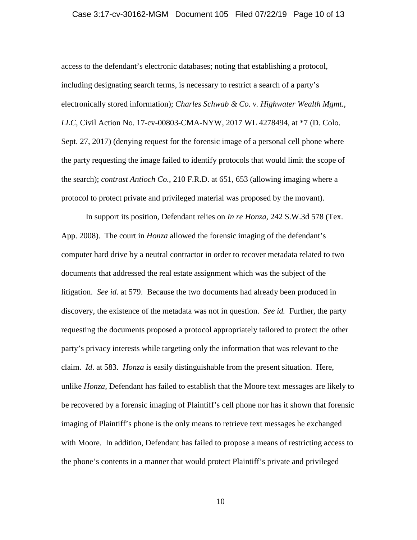#### Case 3:17-cv-30162-MGM Document 105 Filed 07/22/19 Page 10 of 13

access to the defendant's electronic databases; noting that establishing a protocol, including designating search terms, is necessary to restrict a search of a party's electronically stored information); *Charles Schwab & Co. v. Highwater Wealth Mgmt., LLC*, Civil Action No. 17-cv-00803-CMA-NYW, 2017 WL 4278494, at \*7 (D. Colo. Sept. 27, 2017) (denying request for the forensic image of a personal cell phone where the party requesting the image failed to identify protocols that would limit the scope of the search); *contrast Antioch Co.*, 210 F.R.D. at 651, 653 (allowing imaging where a protocol to protect private and privileged material was proposed by the movant).

In support its position, Defendant relies on *In re Honza*, 242 S.W.3d 578 (Tex. App. 2008). The court in *Honza* allowed the forensic imaging of the defendant's computer hard drive by a neutral contractor in order to recover metadata related to two documents that addressed the real estate assignment which was the subject of the litigation. *See id.* at 579. Because the two documents had already been produced in discovery, the existence of the metadata was not in question. *See id.* Further, the party requesting the documents proposed a protocol appropriately tailored to protect the other party's privacy interests while targeting only the information that was relevant to the claim. *Id*. at 583. *Honza* is easily distinguishable from the present situation. Here, unlike *Honza,* Defendant has failed to establish that the Moore text messages are likely to be recovered by a forensic imaging of Plaintiff's cell phone nor has it shown that forensic imaging of Plaintiff's phone is the only means to retrieve text messages he exchanged with Moore. In addition, Defendant has failed to propose a means of restricting access to the phone's contents in a manner that would protect Plaintiff's private and privileged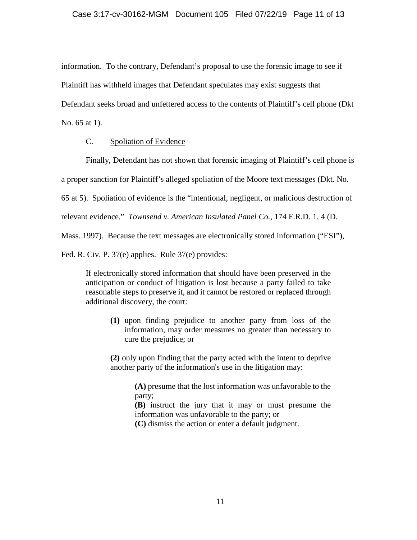information. To the contrary, Defendant's proposal to use the forensic image to see if

Plaintiff has withheld images that Defendant speculates may exist suggests that

Defendant seeks broad and unfettered access to the contents of Plaintiff's cell phone (Dkt

No. 65 at 1).

# C. Spoliation of Evidence

Finally, Defendant has not shown that forensic imaging of Plaintiff's cell phone is

a proper sanction for Plaintiff's alleged spoliation of the Moore text messages (Dkt. No.

65 at 5). Spoliation of evidence is the "intentional, negligent, or malicious destruction of

relevant evidence." *Townsend v. American Insulated Panel Co.*, 174 F.R.D. 1, 4 (D.

Mass. 1997). Because the text messages are electronically stored information ("ESI"),

Fed. R. Civ. P. 37(e) applies. Rule 37(e) provides:

If electronically stored information that should have been preserved in the anticipation or conduct of litigation is lost because a party failed to take reasonable steps to preserve it, and it cannot be restored or replaced through additional discovery, the court:

**(1)** upon finding prejudice to another party from loss of the information, may order measures no greater than necessary to cure the prejudice; or

**(2)** only upon finding that the party acted with the intent to deprive another party of the information's use in the litigation may:

> **(A)** presume that the lost information was unfavorable to the party;

> **(B)** instruct the jury that it may or must presume the information was unfavorable to the party; or

**(C)** dismiss the action or enter a default judgment.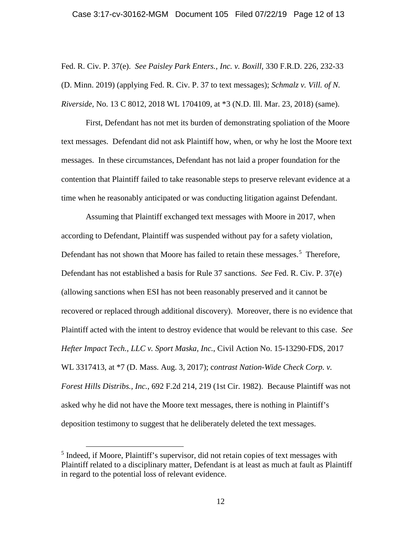#### Case 3:17-cv-30162-MGM Document 105 Filed 07/22/19 Page 12 of 13

Fed. R. Civ. P. 37(e). *See Paisley Park Enters., Inc. v. Boxill,* 330 F.R.D. 226, 232-33 (D. Minn. 2019) (applying Fed. R. Civ. P. 37 to text messages); *Schmalz v. Vill. of N. Riverside,* No. 13 C 8012, 2018 WL 1704109, at \*3 (N.D. Ill. Mar. 23, 2018) (same).

First, Defendant has not met its burden of demonstrating spoliation of the Moore text messages. Defendant did not ask Plaintiff how, when, or why he lost the Moore text messages. In these circumstances, Defendant has not laid a proper foundation for the contention that Plaintiff failed to take reasonable steps to preserve relevant evidence at a time when he reasonably anticipated or was conducting litigation against Defendant.

Assuming that Plaintiff exchanged text messages with Moore in 2017, when according to Defendant, Plaintiff was suspended without pay for a safety violation, Defendant has not shown that Moore has failed to retain these messages.<sup>[5](#page-11-0)</sup> Therefore, Defendant has not established a basis for Rule 37 sanctions. *See* Fed. R. Civ. P. 37(e) (allowing sanctions when ESI has not been reasonably preserved and it cannot be recovered or replaced through additional discovery). Moreover, there is no evidence that Plaintiff acted with the intent to destroy evidence that would be relevant to this case. *See Hefter Impact Tech., LLC v. Sport Maska, Inc.*, Civil Action No. 15-13290-FDS, 2017 WL 3317413, at \*7 (D. Mass. Aug. 3, 2017); c*ontrast Nation-Wide Check Corp. v. Forest Hills Distribs., Inc.*, 692 F.2d 214, 219 (1st Cir. 1982). Because Plaintiff was not asked why he did not have the Moore text messages, there is nothing in Plaintiff's deposition testimony to suggest that he deliberately deleted the text messages.

<span id="page-11-0"></span><sup>&</sup>lt;sup>5</sup> Indeed, if Moore, Plaintiff's supervisor, did not retain copies of text messages with Plaintiff related to a disciplinary matter, Defendant is at least as much at fault as Plaintiff in regard to the potential loss of relevant evidence.